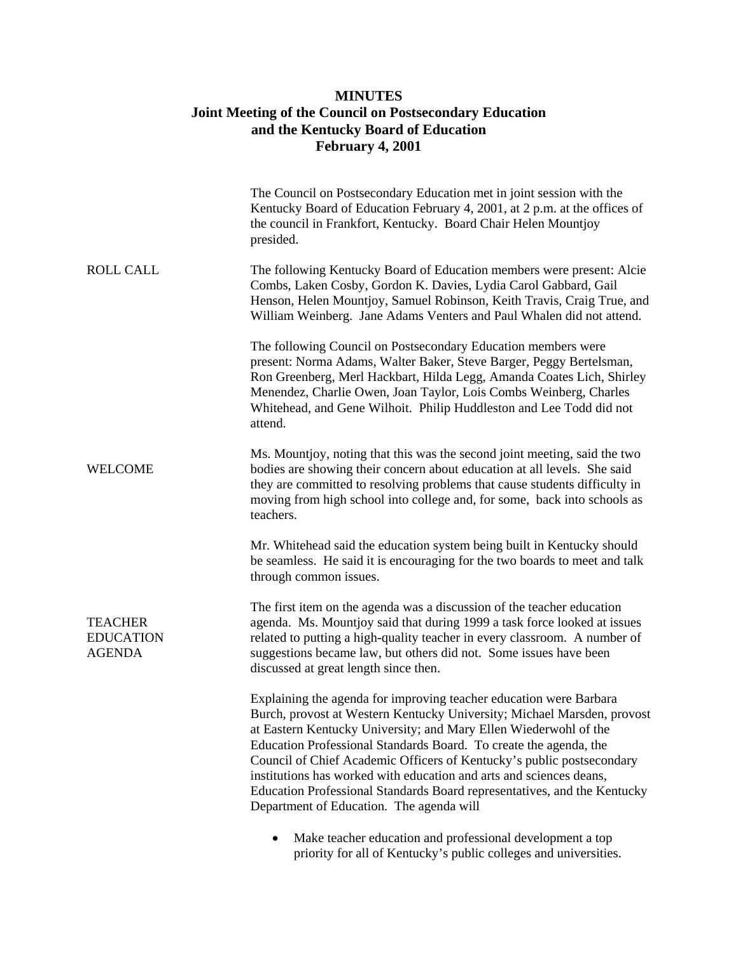## **MINUTES Joint Meeting of the Council on Postsecondary Education and the Kentucky Board of Education February 4, 2001**

|                                                     | The Council on Postsecondary Education met in joint session with the<br>Kentucky Board of Education February 4, 2001, at 2 p.m. at the offices of<br>the council in Frankfort, Kentucky. Board Chair Helen Mountjoy<br>presided.                                                                                                                                                                                                                                                                                                                               |
|-----------------------------------------------------|----------------------------------------------------------------------------------------------------------------------------------------------------------------------------------------------------------------------------------------------------------------------------------------------------------------------------------------------------------------------------------------------------------------------------------------------------------------------------------------------------------------------------------------------------------------|
| <b>ROLL CALL</b>                                    | The following Kentucky Board of Education members were present: Alcie<br>Combs, Laken Cosby, Gordon K. Davies, Lydia Carol Gabbard, Gail<br>Henson, Helen Mountjoy, Samuel Robinson, Keith Travis, Craig True, and<br>William Weinberg. Jane Adams Venters and Paul Whalen did not attend.                                                                                                                                                                                                                                                                     |
|                                                     | The following Council on Postsecondary Education members were<br>present: Norma Adams, Walter Baker, Steve Barger, Peggy Bertelsman,<br>Ron Greenberg, Merl Hackbart, Hilda Legg, Amanda Coates Lich, Shirley<br>Menendez, Charlie Owen, Joan Taylor, Lois Combs Weinberg, Charles<br>Whitehead, and Gene Wilhoit. Philip Huddleston and Lee Todd did not<br>attend.                                                                                                                                                                                           |
| <b>WELCOME</b>                                      | Ms. Mountjoy, noting that this was the second joint meeting, said the two<br>bodies are showing their concern about education at all levels. She said<br>they are committed to resolving problems that cause students difficulty in<br>moving from high school into college and, for some, back into schools as<br>teachers.                                                                                                                                                                                                                                   |
|                                                     | Mr. Whitehead said the education system being built in Kentucky should<br>be seamless. He said it is encouraging for the two boards to meet and talk<br>through common issues.                                                                                                                                                                                                                                                                                                                                                                                 |
| <b>TEACHER</b><br><b>EDUCATION</b><br><b>AGENDA</b> | The first item on the agenda was a discussion of the teacher education<br>agenda. Ms. Mountjoy said that during 1999 a task force looked at issues<br>related to putting a high-quality teacher in every classroom. A number of<br>suggestions became law, but others did not. Some issues have been<br>discussed at great length since then.                                                                                                                                                                                                                  |
|                                                     | Explaining the agenda for improving teacher education were Barbara<br>Burch, provost at Western Kentucky University; Michael Marsden, provost<br>at Eastern Kentucky University; and Mary Ellen Wiederwohl of the<br>Education Professional Standards Board. To create the agenda, the<br>Council of Chief Academic Officers of Kentucky's public postsecondary<br>institutions has worked with education and arts and sciences deans,<br>Education Professional Standards Board representatives, and the Kentucky<br>Department of Education. The agenda will |
|                                                     | Make teacher education and professional development a top<br>priority for all of Kentucky's public colleges and universities.                                                                                                                                                                                                                                                                                                                                                                                                                                  |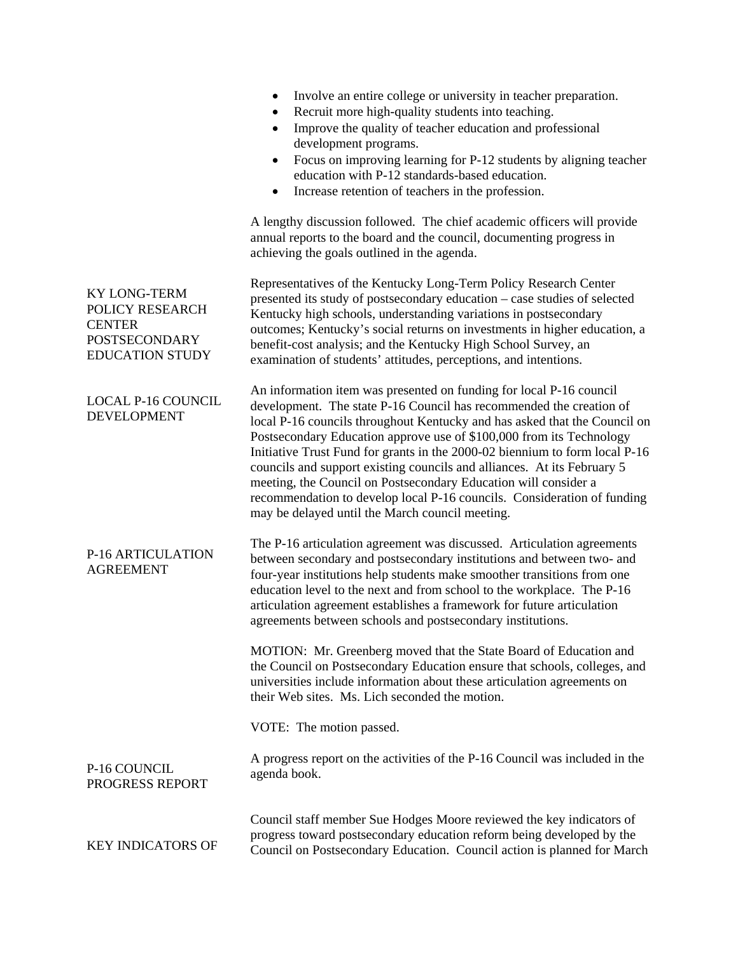|                                                                                                           | Involve an entire college or university in teacher preparation.<br>Recruit more high-quality students into teaching.<br>Improve the quality of teacher education and professional<br>development programs.<br>Focus on improving learning for P-12 students by aligning teacher<br>education with P-12 standards-based education.<br>Increase retention of teachers in the profession.                                                                                                                                                                                                                                                                     |
|-----------------------------------------------------------------------------------------------------------|------------------------------------------------------------------------------------------------------------------------------------------------------------------------------------------------------------------------------------------------------------------------------------------------------------------------------------------------------------------------------------------------------------------------------------------------------------------------------------------------------------------------------------------------------------------------------------------------------------------------------------------------------------|
|                                                                                                           | A lengthy discussion followed. The chief academic officers will provide<br>annual reports to the board and the council, documenting progress in<br>achieving the goals outlined in the agenda.                                                                                                                                                                                                                                                                                                                                                                                                                                                             |
| <b>KY LONG-TERM</b><br>POLICY RESEARCH<br><b>CENTER</b><br><b>POSTSECONDARY</b><br><b>EDUCATION STUDY</b> | Representatives of the Kentucky Long-Term Policy Research Center<br>presented its study of postsecondary education – case studies of selected<br>Kentucky high schools, understanding variations in postsecondary<br>outcomes; Kentucky's social returns on investments in higher education, a<br>benefit-cost analysis; and the Kentucky High School Survey, an<br>examination of students' attitudes, perceptions, and intentions.                                                                                                                                                                                                                       |
| LOCAL P-16 COUNCIL<br><b>DEVELOPMENT</b>                                                                  | An information item was presented on funding for local P-16 council<br>development. The state P-16 Council has recommended the creation of<br>local P-16 councils throughout Kentucky and has asked that the Council on<br>Postsecondary Education approve use of \$100,000 from its Technology<br>Initiative Trust Fund for grants in the 2000-02 biennium to form local P-16<br>councils and support existing councils and alliances. At its February 5<br>meeting, the Council on Postsecondary Education will consider a<br>recommendation to develop local P-16 councils. Consideration of funding<br>may be delayed until the March council meeting. |
| P-16 ARTICULATION<br><b>AGREEMENT</b>                                                                     | The P-16 articulation agreement was discussed. Articulation agreements<br>between secondary and postsecondary institutions and between two- and<br>four-year institutions help students make smoother transitions from one<br>education level to the next and from school to the workplace. The P-16<br>articulation agreement establishes a framework for future articulation<br>agreements between schools and postsecondary institutions.                                                                                                                                                                                                               |
|                                                                                                           | MOTION: Mr. Greenberg moved that the State Board of Education and<br>the Council on Postsecondary Education ensure that schools, colleges, and<br>universities include information about these articulation agreements on<br>their Web sites. Ms. Lich seconded the motion.                                                                                                                                                                                                                                                                                                                                                                                |
|                                                                                                           | VOTE: The motion passed.                                                                                                                                                                                                                                                                                                                                                                                                                                                                                                                                                                                                                                   |
| P-16 COUNCIL<br>PROGRESS REPORT                                                                           | A progress report on the activities of the P-16 Council was included in the<br>agenda book.                                                                                                                                                                                                                                                                                                                                                                                                                                                                                                                                                                |
| <b>KEY INDICATORS OF</b>                                                                                  | Council staff member Sue Hodges Moore reviewed the key indicators of<br>progress toward postsecondary education reform being developed by the<br>Council on Postsecondary Education. Council action is planned for March                                                                                                                                                                                                                                                                                                                                                                                                                                   |